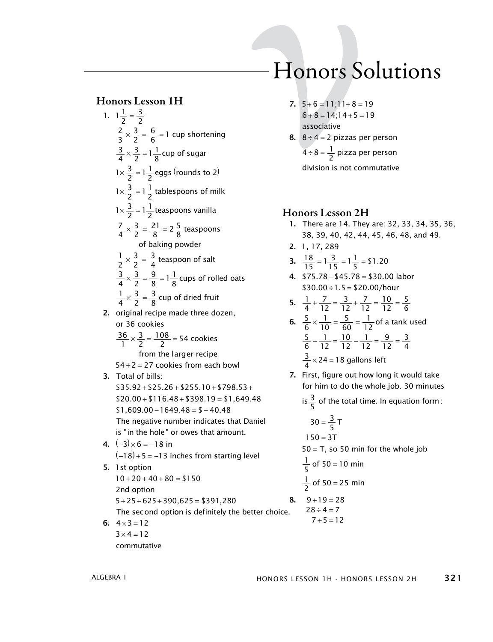#### **Honors Lesson 1H**  $\mathbf{I}$  $\overline{\phantom{a}}$

1. 
$$
1\frac{1}{2} = \frac{3}{2}
$$
  
\n $\frac{2}{3} \times \frac{3}{2} = \frac{6}{6} = 1$  cup shortening  
\n $\frac{3}{4} \times \frac{3}{2} = 1\frac{1}{8}$  cup of sugar  
\n $1 \times \frac{3}{2} = 1\frac{1}{2}$  teaps (rounds to 2)  
\n $1 \times \frac{3}{2} = 1\frac{1}{2}$  teaspoons vanilla  
\n $1 \times \frac{3}{2} = \frac{1}{2}$  teaspoons vanilla  
\n $\frac{7}{4} \times \frac{3}{2} = \frac{21}{8} = 2\frac{5}{8}$  teaspoons of baking powder  
\n $\frac{1}{2} \times \frac{3}{2} = \frac{3}{4}$  teaspoon of salt  
\n $\frac{3}{4} \times \frac{3}{2} = \frac{9}{8} = 1\frac{1}{8}$  cups of rolled oats  
\n $\frac{1}{4} \times \frac{3}{2} = \frac{3}{8}$  cup of dried fruit  
\n2. original recipe made three dozen,  
\nor 36 cookies  
\n $\frac{36}{1} \times \frac{3}{8} = \frac{108}{2} = 54$  cookies from each bowl  
\n3. Total of bills:  
\n\$35.92+ \$25.26+ \$255.10+ \$798.53+ \$20.00+ \$116.48+ \$398.19 = \$1,649.48  
\n\$1,609.00 - 1649.48 = \$-40.48  
\nThe negative number indicates that Daniel  
\nis "in the hole" or owes that amount.  
\n4. (-3)×6 = -18 in  
\n(-18)+5 = -13 inches from starting level  
\n5. 1st option  
\n10+20+40+80 = \$150  
\n2nd option  
\n5+25+625+390,625 = \$391,280  
\nThe second option is definitely the better choice.

6.  $4 \times 3 = 12$  $3 \times 4 = 12$ commutative

# Honors Solutions

- 7.  $5+6=11;11+8=19$  $6+8=14;14+5=19$ associative
- 8.  $8 \div 4 = 2$  pizzas per person  $4 \div 8 = \frac{1}{2}$  pizza per person division is not commutative

## **Honors Lesson 2H**

- 1. There are 14. They are: 32, 33, 34, 35, 36, 38, 39, 40, 42, 44, 45, 46, 48, and 49.
- 2. 1, 17, 289

3. 
$$
\frac{18}{15} = 1\frac{3}{15} = 1\frac{1}{5} = $1.20
$$

4.  $$75.78 - $45.78 = $30.00$  labor  $$30.00 \div 1.5 = $20.00/hour$ 

5. 
$$
\frac{1}{4} + \frac{7}{12} = \frac{3}{12} + \frac{7}{12} = \frac{10}{12} = \frac{5}{6}
$$

6. 
$$
\frac{5}{6} \times \frac{1}{10} = \frac{5}{60} = \frac{1}{12}
$$
 of a tank used  
\n $\frac{5}{6} - \frac{1}{12} = \frac{10}{12} - \frac{1}{12} = \frac{9}{12} = \frac{3}{4}$   
\n $\frac{3}{4} \times 24 = 18$  gallons left

7. First, figure out how long it would take for him to do the whole job. 30 minutes

is  $\frac{3}{5}$  of the total time. In equation form:

$$
30 = \frac{3}{5} \text{ T}
$$
  
\n
$$
150 = 3 \text{ T}
$$
  
\n
$$
50 = \text{ T, so } 50 \text{ min for the whole job}
$$
  
\n
$$
\frac{1}{5} \text{ of } 50 = 10 \text{ min}
$$
  
\n
$$
\frac{1}{2} \text{ of } 50 = 25 \text{ min}
$$
  
\n**8.** 9+19 = 28  
\n
$$
28 \div 4 = 7
$$
  
\n
$$
7+5 = 12
$$

ALGEBRA 1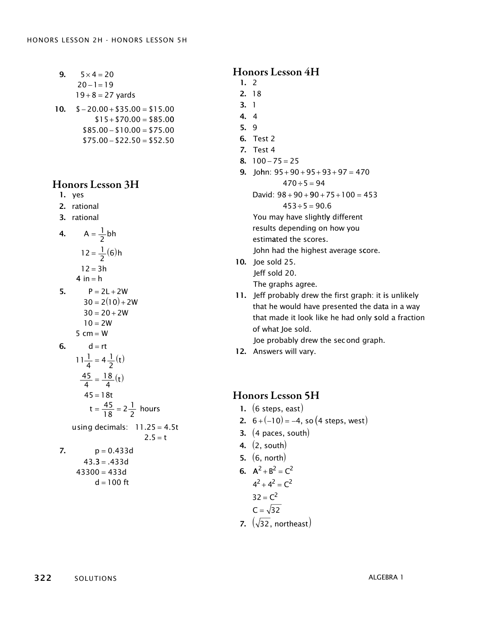9. 
$$
5 \times 4 = 20
$$
  
20-1=19  
19+8 = 27 yards

10. 
$$
\$ - 20.00 + \$ 35.00 = \$ 15.00
$$

$$
\$ 15 + \$ 70.00 = \$ 85.00
$$

$$
\$ 85.00 - \$ 10.00 = \$ 75.00
$$

$$
\$ 75.00 - \$ 22.50 = \$ 52.50
$$

# **Honors Lesson 3H**

- 1. yes
- 2. rational
- 3. rational

4. 
$$
A = \frac{1}{2}bh
$$
  
\n $12 = \frac{1}{2}(6)h$   
\n $12 = 3h$   
\n4 in = h

5. 
$$
P = 2L + 2W
$$
  
\n $30 = 2(10) + 2W$   
\n $30 = 20 + 2W$   
\n $10 = 2W$   
\n5 cm = W  
\n6.  $d = rt$   
\n $11\frac{1}{4} = 4\frac{1}{2}(t)$   
\n $\frac{45}{4} = \frac{18}{4}(t)$   
\n $45 = 18t$   
\n $t = \frac{45}{18} = 2\frac{1}{2}$  hours  
\nusing decimals:  $11.25 = 4.5t$   
\n $2.5 = t$   
\n7.  $p = 0.433d$   
\n $43.3 = .433d$   
\n $43.300 = 433d$ 

$$
d=100\hspace{.1cm}ft
$$

#### **Honors Lesson 4H**

- $1.2$  $2.18$  $3.1$  $4 \quad 4$  $5.9$ **6.** Test 2 7. Test 4 8.  $100 - 75 = 25$ 9. John:  $95 + 90 + 95 + 93 + 97 = 470$  $470 \div 5 = 94$ David:  $98 + 90 + 90 + 75 + 100 = 453$  $453 \div 5 = 90.6$ You may have slightly different results depending on how you estimated the scores. John had the highest average score. 10. Joe sold 25. Jeff sold 20. The graphs agree.
- 11. Jeff probably drew the first graph: it is unlikely that he would have presented the data in a way that made it look like he had only sold a fraction of what loe sold. Joe probably drew the second graph.
- 12. Answers will vary.

# **Honors Lesson 5H**

- 1.  $(6$  steps, east)
- 2.  $6+(-10) = -4$ , so (4 steps, west)
- 3.  $(4 \text{ paces, south})$
- 4.  $(2, south)$
- 5.  $(6, north)$
- 6.  $A^2 + B^2 = C^2$

$$
4^2 + 4^2 = C^2
$$
  
32 = C<sup>2</sup>

$$
C = \sqrt{32}
$$

7.  $(\sqrt{32}$ , northeast)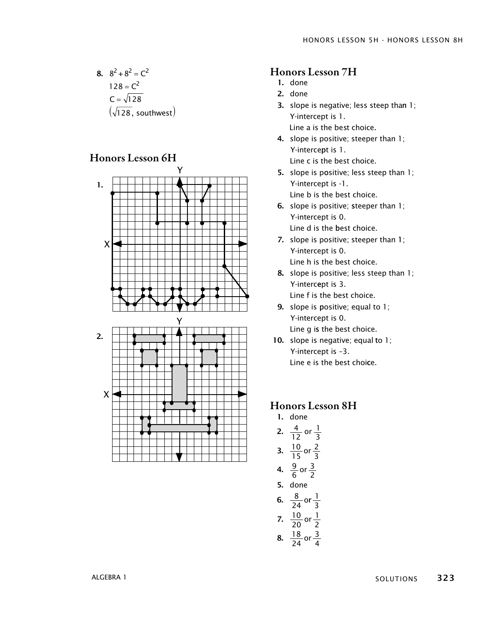8.  $8^2 + 8^2 = C^2$ = =  $(\sqrt{128}$  , southwest) 128 128  $C^2$ C

# Honors Lesson 6H



#### Honors Lesson 7H

- 1. done
- 2. done
- 3. slope is negative; less steep than 1; Y-intercept is 1. Line a is the best choice.
- 4. slope is positive; steeper than 1; Y-interce pt is 1. Line c is the best choice.
- 5. slope is positive; less steep than 1; Y-intercept is -1. Line b is the best choice.
- 6. slope is positive; steeper than 1; Y-intercept is 0. Line d is the best choice.
- 7. slope is positive; steeper than 1; Y-intercept is 0. Line h is the best choice.
- 8. slope is positive; less steep than 1; Y-intercept is 3. Line f is the best choice.
- 9. slope is positive; equal to 1; Y-intercept is 0. Line g is the best choice.
- 10. slope is negative; equal to 1; Y-intercept is –3. Line e is the best choice.

#### Honors Lesson 8H

1. done 2.  $\frac{4}{12}$  or 3.  $\frac{10}{15}$  or 4.  $\frac{9}{6}$  or 5. done 6.  $\frac{8}{31}$ o 12 1 3 15 2 3 6 3 2  $\frac{8}{24}$  or  $\frac{1}{3}$  $\frac{10}{20}$  or  $\frac{18}{34}$ or 3 20 1 7.  $\frac{10}{20}$  or  $\frac{1}{2}$ 24 3 8.  $\frac{18}{24}$  or  $\frac{3}{4}$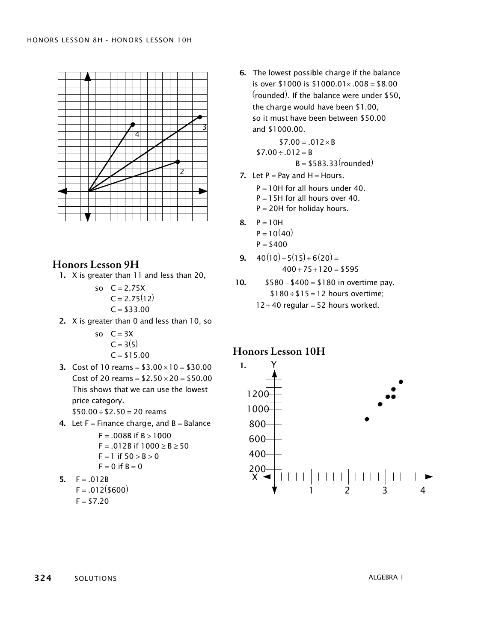

# **Honors Lesson 9H**

1. X is greater than 11 and less than 20,

so 
$$
C = 2.75X
$$
  
\n $C = 2.75(12)$   
\n $C = $33.00$ 

2. X is greater than 0 and less than 10, so

so  $C = 3X$  $C = 3(5)$  $C = $15.00$ 

3. Cost of 10 reams =  $$3.00 \times 10 = $30.00$ Cost of 20 reams =  $$2.50 \times 20 = $50.00$ This shows that we can use the lowest price category.  $$50.00 \div $2.50 = 20$  reams

4. Let  $F =$  Finance charge, and  $B =$  Balance  $E = 008R$  if  $R > 1000$ 

 $\sim$ 

$$
F = .0088 \text{ m} \cdot B > 1000
$$
  
\n
$$
F = .012B \text{ if } 1000 \ge B \ge 50
$$
  
\n
$$
F = 1 \text{ if } 50 > B > 0
$$
  
\n
$$
F = 0 \text{ if } B = 0
$$

5. 
$$
F = .012B
$$

$$
F = .012(3600)
$$
  

$$
F = $7.20
$$

6. The lowest possible charge if the balance is over \$1000 is \$1000.01 $\times$ .008 = \$8.00 (rounded). If the balance were under \$50, the charge would have been \$1.00, so it must have been between \$50.00 and \$1000.00.

> $$7.00 = .012 \times B$  $$7.00 \div .012 = B$  $B = $583.33$ (rounded)

7. Let  $P = Pay$  and  $H = Hours$ .

 $P = 10H$  for all hours under 40.

 $P = 15H$  for all hours over 40.  $P = 20H$  for holiday hours.

8.  $P = 10H$ 

$$
P=10(40)
$$

$$
P=\$400
$$

- $40(10) + 5(15) + 6(20) =$ 9.  $400 + 75 + 120 = $595$
- $$580 $400 = $180$  in overtime pay.  $10.$  $$180 \div $15 = 12$  hours overtime;
	- $12+40$  regular = 52 hours worked.

# **Honors Lesson 10H**

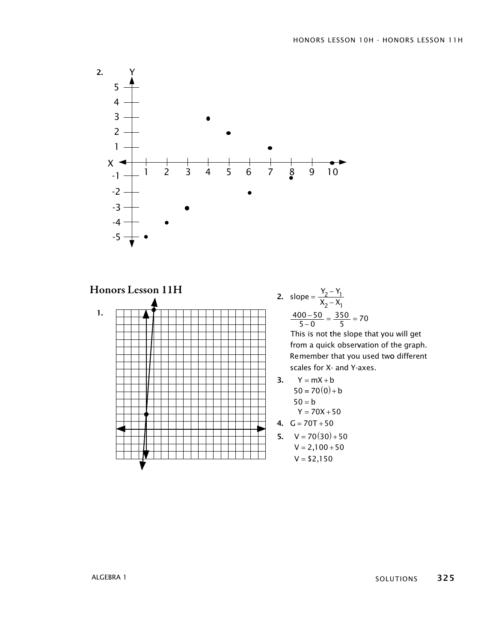

Honors Lesson 11H



2. slope = 
$$
\frac{Y_2 - Y_1}{X_2 - X_1}
$$
  

$$
\frac{400 - 50}{5 - 0} = \frac{350}{5} = 70
$$

This is not the slope that you will get from a quick observation of the graph . Remember that you used two different scales for X- and Y-axes.

3. 
$$
Y = mX + b
$$
  
\n $50 = 70(0) + b$   
\n $50 = b$   
\n $Y = 70X + 50$ 

4. 
$$
G = 70T + 50
$$

**5.**  $V = 70(30) + 50$  $V = 2,100 + 50$  $V = $2,150$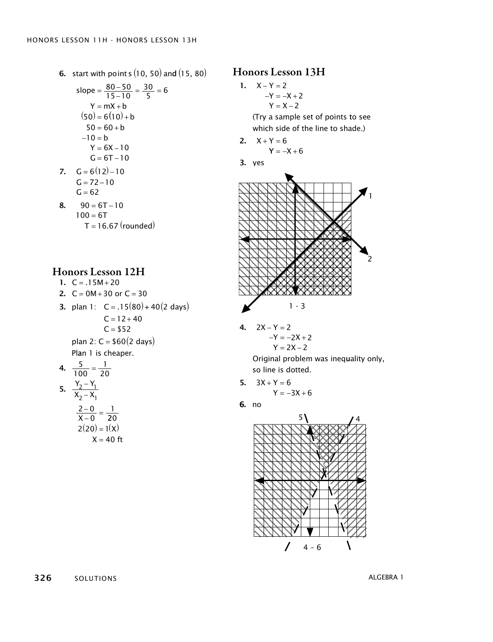**6.** start with points  $(10, 50)$  and  $(15, 80)$ 

slope = 
$$
\frac{80-50}{15-10} = \frac{30}{5} = 6
$$
  
\nY = mX + b  
\n(50) = 6(10) + b  
\n50 = 60 + b  
\n-10 = b  
\nY = 6X - 10  
\nG = 6(12) - 10  
\nG = 72-10

$$
G = 62
$$
  
8. 90 = 6T - 10  
100 = 6T  
T = 16.67 (rounded)

7.

#### Honors Lesson 12H

1.  $C = .15M + 20$ 

2. 
$$
C = 0M + 30
$$
 or  $C = 30$ 

3. plan 1: 
$$
C = .15(80) + 40(2 \text{ days})
$$
  
\n $C = 12 + 40$   
\n $C = $52$   
\nplan 2:  $C = $60(2 \text{ days})$ 

Plan 1 is cheaper.

**4.** 
$$
\frac{5}{100} = \frac{1}{20}
$$
  
**5.** 
$$
\frac{Y_2 - Y_1}{X_2 - X_1}
$$

$$
\frac{2 - 0}{X - 0} = \frac{1}{20}
$$

$$
2(20) = 1(X)
$$

$$
X=40 \text{ ft}
$$

## Honors Lesson 13H

1. 
$$
X-Y = 2
$$
  
-Y = -X + 2  
Y = X - 2

(Try a sample set of points to see which side of the line to shade.)

$$
2. \quad X + Y = 6
$$

$$
Y=-X+6
$$

$$
3. \text{ves}
$$



 $-4$  2X – Y = 2  $-Y = -2X + 2$  $Y = 2X - 2$ 

> Original problem was ineq uality only , so line is dotted .

5. 
$$
3X + Y = 6
$$

$$
Y = -3X + 6
$$

6. no



326 solutions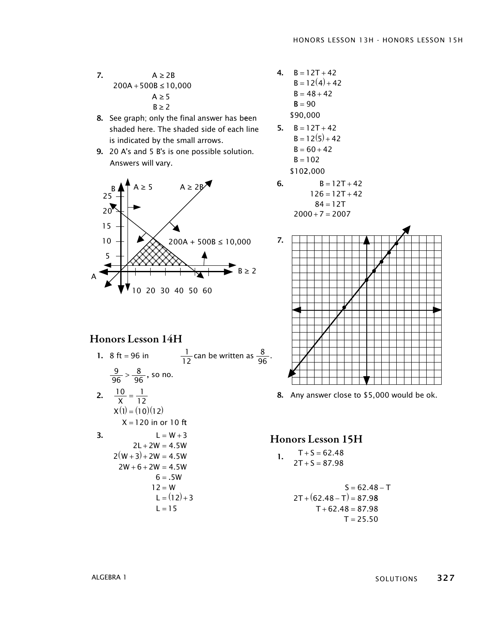- 7.  $A \geq 2B$  $200A + 500B \le 10,000$ A ≥ 5  $B \geq 2$
- 8. See graph; only the final answer has been shaded here. The shaded side of each line is indicated by the small arrows.
- 9. 20 A's and 5 B's is one possible solution. Answers will vary.



Honors Lesson 14H

1. 8 ft = 96 in 
$$
\frac{1}{12}
$$
 can be written as  $\frac{8}{96}$ .  
 $\frac{9}{96} > \frac{8}{96}$ , so no.

2. 
$$
\frac{10}{X} = \frac{1}{12}
$$
  
\n
$$
X(1) = (10)(12)
$$
  
\n
$$
X = 120 \text{ in or } 10 \text{ ft}
$$
  
\n3. 
$$
L = W + 3
$$
  
\n
$$
2L + 2W = 4.5W
$$
  
\n
$$
2(W + 3) + 2W = 4.5W
$$

 $2W + 6 + 2W = 4.5W$ 

 $6 = .5W$ 

 $12 = W$  $L = (12) + 3$  $L = 15$ 

\n- **4.** 
$$
B = 12T + 42
$$
  $B = 12(4) + 42$   $B = 48 + 42$   $B = 90$   $$90,000$
\n- **5.**  $B = 12T + 42$
\n

$$
B = 12T + 42
$$
  
\n
$$
B = 12(5) + 42
$$
  
\n
$$
B = 60 + 42
$$
  
\n
$$
B = 102
$$
  
\n\$102,000

6. 
$$
B = 12T + 42
$$

$$
126 = 12T + 42
$$

$$
84 = 12T
$$

$$
2000 + 7 = 2007
$$



8. Any answer close to \$5,000 would be ok.

#### Honors Lesson 15H

1. 
$$
T+S = 62.48
$$
  
2T + S = 87.98

$$
S = 62.48 - T
$$
  
2T + (62.48 - T) = 87.98  
T + 62.48 = 87.98  
T = 25.50

ALGEBRA 1

SOLUTIONS 327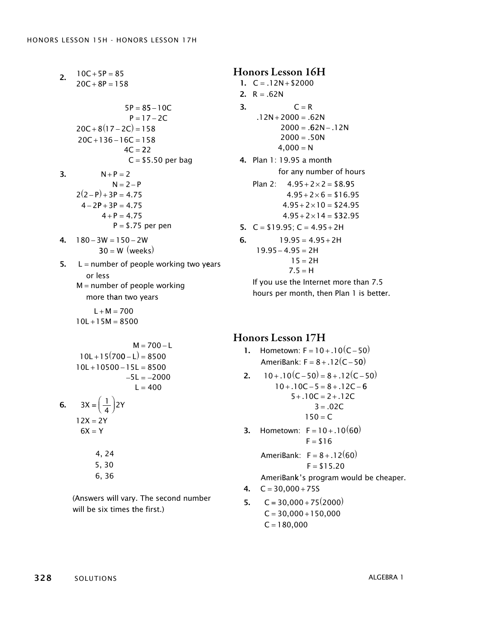$10C + 5P = 85$  $20C + 8P = 158$  $5P = 85 - 10C$ 2.  $P = 17 - 2C$  $20C + 8(17 - 2C) = 158$  $20C + 136 - 16C = 158$  $4C = 22$  $C = $5.50$  per bag  $N + P = 2$  $N = 2 - P$  $2(2-P) + 3P = 4.75$  $4 - 2P + 3P = 4.75$ 3.  $4 + P = 4.75$  $P = $.75$  per pen  $-3W = 150 - 2W$  $30 = W$  (weeks) 5.  $L =$  number of people working two years or less  $M =$  number of people working more th an two years  $L + M = 700$ 

$$
M = 700 - L
$$
  
10L + 15(700 - L) = 8500  
10L + 10500 - 15L = 8500  
-5L = -2000  
L = 400

 $10L + 15M = 8500$ 

**6.**  $3X = \left(\frac{1}{4}\right)$  $12X = 2Y$  $6X = Y$  $\frac{1}{4}$ )2Y

> 4, 24 5, 30 6, 36

(Answers will vary. The second number will be six times the first.)

Honors Lesson 16H 1.  $C = .12N + $2000$ **2.**  $R = .62N$ 3.  $C = R$  $.12N + 2000 = .62N$  $2000 = .62N - .12N$  $2000 = .50N$  $4,000 = N$ 4. Plan 1: 19.95 a month for any number of hours Plan 2:  $4.95 + 2 \times 2 = $8.95$  $4.95 + 2 \times 6 = $16.95$  $4.95 + 2 \times 10 = $24.95$  $4.95 + 2 \times 14 = $32.95$ **5.**  $C = $19.95$ ;  $C = 4.95 + 2H$  $19.95 = 4.95 + 2H$  $19.95 - 4.95 = 2H$ 6.  $15 = 2H$  $7.5 = H$ If you use the Internet more than 7.5 hours per month, then Plan 1 is better.

# Honors Lesson 17H

1. Hometown:  $F = 10 + .10(C - 50)$ AmeriBank:  $F = 8 + .12(C - 50)$ 2.  $10+.10(C-50) = 8+.12(C-50)$  $10 + .10C - 5 = 8 + .12C - 6$  $5 + .10C = 2 + .12C$  $3 = .02C$ 

$$
150 = C
$$

**3.** Hometown:  $F = 10 + .10(60)$  $F = $16$ 

> AmeriBank:  $F = 8 + .12(60)$  $F = $15.20$

AmeriBank's program would be cheaper.

4. 
$$
C = 30,000 + 755
$$

 $C = 30,000 + 75(2000)$ 5.  $C = 30,000 + 150,000$  $C = 180,000$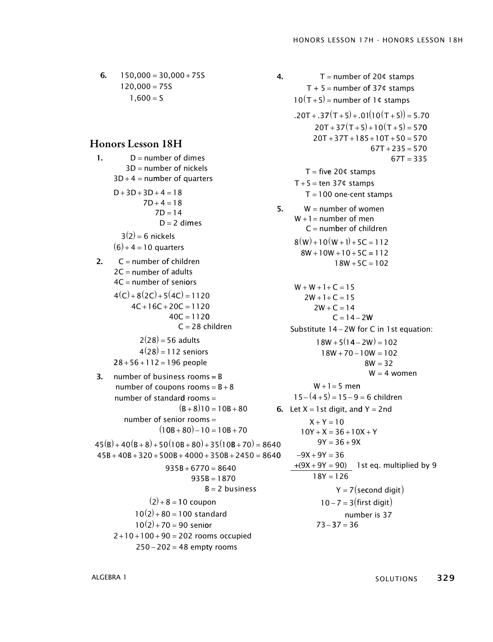6.  $150,000 = 30,000 + 755$  $120,000 = 75S$  $1,600 = S$ 

#### Honors Lesson 18H

1.  $D =$  number of dimes  $3D =$  number of nickels  $3D + 4 =$  number of quarters  $D+3D+3D+4=18$  $7D + 4 = 18$  $7D = 14$  $D = 2$  dimes  $3(2) = 6$  nickels  $(6) + 4 = 10$  quarters 2.  $C =$  number of children  $2C =$  number of adults  $4C =$  number of seniors  $4(C) + 8(2C) + 5(4C) = 1120$  $4C + 16C + 20C = 1120$  $40C = 1120$ C = 28 children  $2(28) = 56$  adults  $4(28) = 112$  seniors  $28 + 56 + 112 = 196$  people **3.** number of business rooms =  $B$ number of coupons rooms =  $B + 8$ number of standard rooms =  $(B+8)10 = 10B+80$ number of senior rooms =  $(10B + 80) - 10 = 10B + 70$  $45(B) + 40(B + 8) + 50(10B + 80) + 35(10B + 70) = 8640$  $45B + 40B + 320 + 500B + 4000 + 350B + 2450 = 8640$  $935B + 6770 = 8640$  $935B = 1870$  $B = 2$  business  $(2) + 8 = 10$  coupon  $10(2) + 80 = 100$  standard  $10(2) + 70 = 90$  senior  $2+10+100+90=202$  rooms occupied  $250 - 202 = 48$  empty rooms

**4.**  $T =$  number of 20 $\text{\textsterling}$  stamps T + 5 = number of 37¢ stamps  $10(T+5)$  = number of 1¢ stamps  $.20T + .37(T + 5) + .01(10(T + 5)) = 5.70$  $20T + 37(T + 5) + 10(T + 5) = 570$  $20T + 37T + 185 + 10T + 50 = 570$  $67T + 235 = 570$  $67T = 335$  $T =$  five 20 $\text{\textsterling}$  stamps  $T + 5 = \text{ten } 37$ ¢ stamps  $T = 100$  one-cent stamps 5.  $W =$  number of women  $W+1$  = number of men  $C =$  number of children  $8(W) + 10(W + 1) + 5C = 112$  $8W + 10W + 10 + 5C = 112$  $18W + 5C = 102$  $W + W + 1 + C = 15$  $2W + 1 + C = 15$  $2W + C = 14$  $C = 14 - 2W$ Substitute  $14 - 2W$  for C in 1st equation:  $18W + 5(14 - 2W) = 102$  $18W + 70 - 10W = 102$  $8W = 32$ W = 4 women  $W + 1 = 5$  men  $15 - (4 + 5) = 15 - 9 = 6$  children **6.** Let  $X = 1$  st digit, and  $Y = 2$ nd  $X + Y = 10$  $10Y + X = 36 + 10X + Y$  $9Y = 36 + 9X$  $-9X + 9Y = 36$  $+(9X + 9Y = 90)$  1 st eq. multiplied by 9  $18Y = 126$ Y = 7(se**c**ond digit)  $10 - 7 = 3$ (first digit) number is 37  $73 - 37 = 36$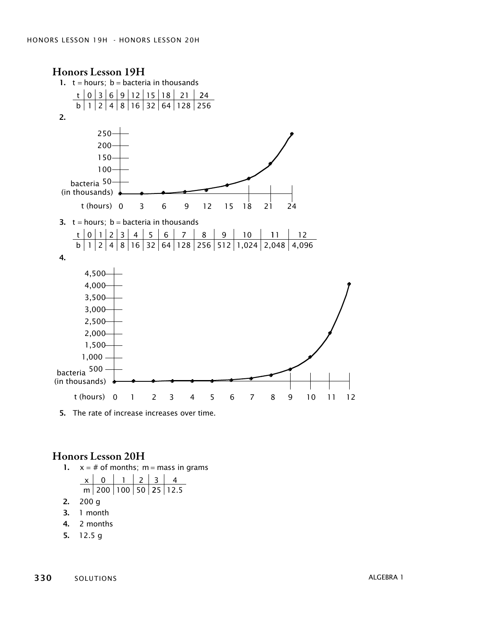

5. The rate of increase increases over time.

# Honors Lesson 20H

1.  $x = #$  of months; m = mass in grams

x m 0 1 2 3 4 200 100 50 25 12 5 .

- 2.  $200 g$
- 3. 1 month
- 4. 2 months
- 5.  $12.5 g$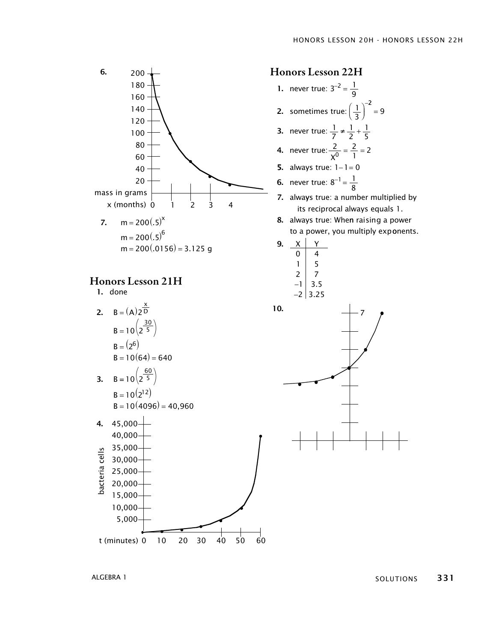

t (minutes) 0 10 20 30 40 50 60



ALGEBRA 1

5,000

solutions 331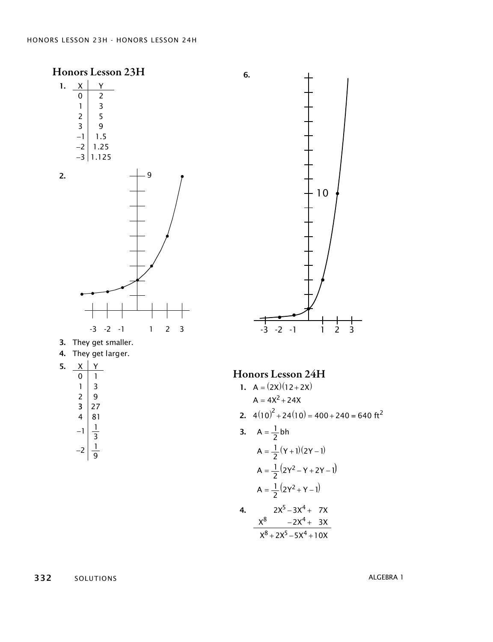

$$
A = \frac{1}{2} (2Y^2 - Y + 2Y - 1)
$$
  

$$
A = \frac{1}{2} (2Y^2 + Y - 1)
$$

4. 
$$
2X^{5}-3X^{4}+7X
$$

$$
X^{8}-2X^{4}+3X
$$

$$
X^{8}+2X^{5}-5X^{4}+10X
$$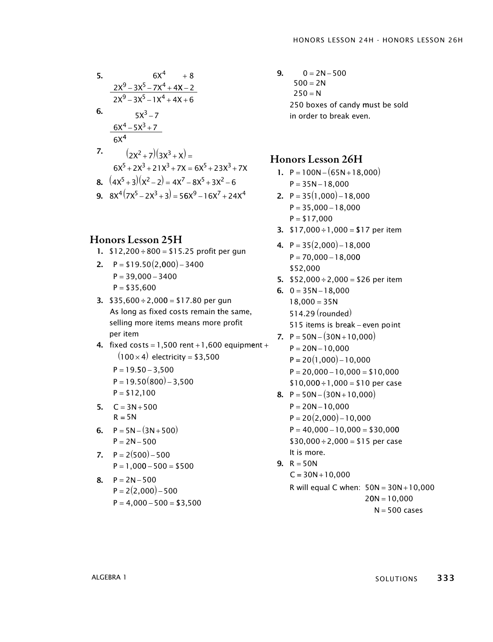5.   
\n
$$
6x^{4} + 8
$$
\n
$$
\frac{2x^{9} - 3x^{5} - 7x^{4} + 4x - 2}{2x^{9} - 3x^{5} - 1x^{4} + 4x + 6}
$$
\n6.   
\n
$$
5x^{3} - 7
$$
\n
$$
\frac{6x^{4} - 5x^{3} + 7}{6x^{4}}
$$
\n7.   
\n
$$
(2x^{2} + 7)(3x^{3} + x) =
$$
\n
$$
6x^{5} + 2x^{3} + 21x^{3} + 7x = 6x^{5} + 23x^{3} + 7x
$$
\n8. 
$$
(4x^{5} + 3)(x^{2} - 2) = 4x^{7} - 8x^{5} + 3x^{2} - 6
$$
\n9. 
$$
8x^{4}(7x^{5} - 2x^{3} + 3) = 56x^{9} - 16x^{7} + 24x^{4}
$$

#### Honors Lesson 25H

- 1.  $$12,200 \div 800 = $15.25$  profit per gun
- 2.  $P = $19.50(2,000) 3400$  $P = 39,000 - 3400$  $P = $35,600$
- 3.  $$35,600 \div 2,000 = $17.80$  per gun As long as fixed costs remain the same, selling more items means more profit per item
- 4. fixed  $costs = 1,500$  rent  $+1,600$  equipment  $+$  $(100\times4)$  electricity = \$3,500
	- $P = 19.50 3,500$  $P = 19.50(800) - 3,500$  $P = $12,100$
- 5.  $C = 3N + 500$  $R = 5N$
- 6.  $P = 5N (3N + 500)$  $P = 2N - 500$
- 7.  $P = 2(500) 500$  $P = 1,000 - 500 = $500$
- 8.  $P = 2N 500$  $P = 2(2,000) - 500$  $P = 4,000 - 500 = $3,500$

 $9. 0 = 2N - 500$  $500 = 2N$  $250 = N$ 250 boxes of candy must be sold in order to break even.

# Honors Lesson 26H

- 1.  $P = 100N (65N + 18,000)$  $P = 35N - 18,000$
- 2.  $P = 35(1,000) 18,000$  $P = 35,000 - 18,000$  $P = $17,000$
- **3.**  $$17,000 \div 1,000 = $17$  per item
- 4.  $P = 35(2,000) 18,000$  $P = 70,000 - 18,000$ \$52,000
- 5.  $$52,000 \div 2,000 = $26$  per item
- 6.  $0 = 35N 18,000$  $18,000 = 35N$ 514.29 (rounded) 515 items is break – even point 7.  $P = 50N - (30N + 10,000)$ 
	- $P = 20N 10,000$
	- $P = 20(1,000) 10,000$
	- $P = 20,000 10,000 = $10,000$
	- $$10,000 \div 1,000 = $10$  per case
- 8.  $P = 50N (30N + 10,000)$  $P = 20N - 10,000$  $P = 20(2,000) - 10,000$  $P = 40,000 - 10,000 = $30,000$  $$30,000 \div 2,000 = $15$  per case **9.**  $R = 50N$ . It is more . It is more  $C = 30N + 10,000$ R will equal C when:  $50N = 30N + 10,000$  $20N = 10,000$

 $N = 500$  cases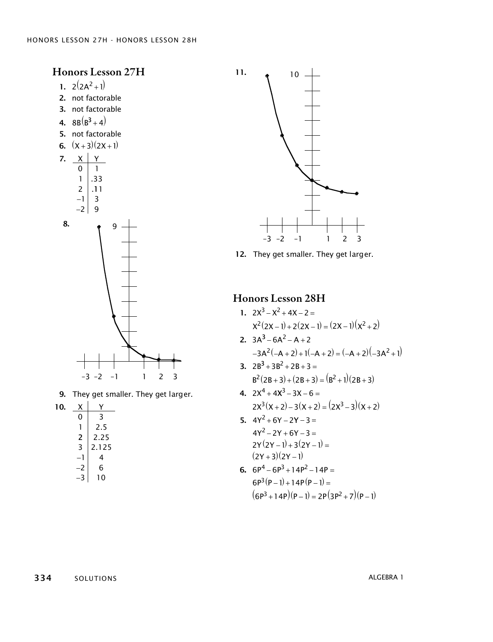Honors Lesson 27H

- 1.  $2(2A^2+1)$
- 2. not factorable
- 3. not factorable
- 4.  $8B(B^3 + 4)$
- 5. not factorable
- 6.  $(x+3)(2x+1)$





**9.** They get smaller. They get larger.

| 10. | х      |       |
|-----|--------|-------|
|     | 0      | 3     |
|     |        | 2.5   |
|     | 2<br>3 | 2.25  |
|     |        | 2.125 |
|     |        | 4     |
|     | 2      | 6     |
|     |        | N     |



12. They get smaller. They get larger.

# Honors Lesson 28H

1. 
$$
2x^3 - x^2 + 4x - 2 =
$$
  
\n $x^2(2x-1) + 2(2x-1) = (2x-1)(x^2 + 2)$   
\n2.  $3A^3 - 6A^2 - A + 2$ 

 $-3A^2(-A+2)+1(-A+2)=(-A+2)(-3A^2+1)$ 

3. 
$$
2B^3 + 3B^2 + 2B + 3 =
$$
  
\n $B^2(2B+3) + (2B+3) = (B^2 + 1)(2B+3)$ 

4. 
$$
2x^4 + 4x^3 - 3x - 6 =
$$
  
 $2x^3(x+2) - 3(x+2) = (2x^3 - 3)(x+2)$ 

5. 
$$
4Y^2 + 6Y - 2Y - 3 =
$$
  
\n $4Y^2 - 2Y + 6Y - 3 =$   
\n $2Y(2Y - 1) + 3(2Y - 1) =$   
\n $(2Y + 3)(2Y - 1)$ 

6. 
$$
6P^4 - 6P^3 + 14P^2 - 14P =
$$
  
\n $6P^3(P-1) + 14P(P-1) =$   
\n $(6P^3 + 14P)(P-1) = 2P(3P^2 + 7)(P-1)$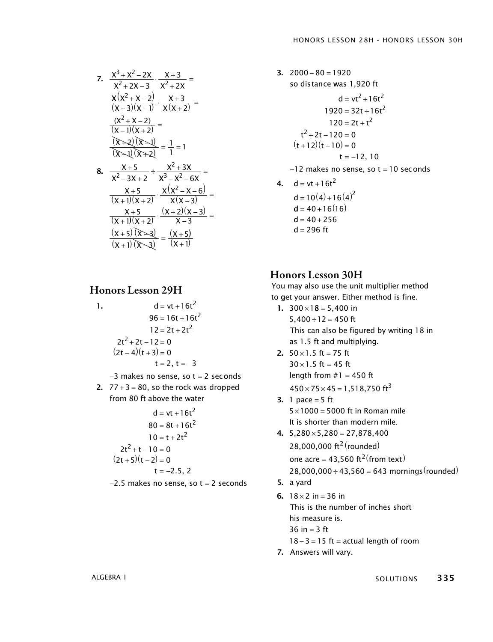7. 
$$
\frac{x^{3} + x^{2} - 2x}{x^{2} + 2x - 3} \cdot \frac{x + 3}{x^{2} + 2x} =
$$
\n
$$
\frac{x(x^{2} + x - 2)}{(x + 3)(x - 1)} \cdot \frac{x + 3}{x(x + 2)} =
$$
\n
$$
\frac{(x^{2} + x - 2)}{(x - 1)(x + 2)} =
$$
\n
$$
\frac{(x^{2} + x - 2)}{(x - 1)(x + 2)} = \frac{1}{1} = 1
$$
\n8. 
$$
\frac{x + 5}{x^{2} - 3x + 2} \div \frac{x^{2} + 3x}{x^{3} - x^{2} - 6x} =
$$
\n
$$
\frac{x + 5}{(x + 1)(x + 2)} \cdot \frac{x(x^{2} - x - 6)}{x(x - 3)} =
$$
\n
$$
\frac{x + 5}{(x + 1)(x + 2)} \cdot \frac{(x + 2)(x - 3)}{x - 3} =
$$
\n
$$
\frac{(x + 5)(x - 3)}{(x + 1)(x - 2)} = \frac{(x + 5)}{(x + 1)(x - 3)} =
$$

#### Honors Lesson 29H

1. 
$$
d = vt + 16t^{2}
$$

$$
96 = 16t + 16t^{2}
$$

$$
12 = 2t + 2t^{2}
$$

$$
2t^{2} + 2t - 12 = 0
$$

$$
(2t - 4)(t + 3) = 0
$$

$$
t = 2, t = -3
$$

−3 makes no sense, so t = 2 sec onds

2.  $77 + 3 = 80$ , so the rock was dropped from 80 ft above the water

$$
d = vt + 16t2
$$
  
\n
$$
80 = 8t + 16t2
$$
  
\n
$$
10 = t + 2t2
$$
  
\n
$$
2t2 + t - 10 = 0
$$
  
\n
$$
(2t + 5)(t - 2) = 0
$$
  
\n
$$
t = -2.5, 2
$$

−2.5 makes no sense, so t = 2 seconds

3.  $2000 - 80 = 1920$ so distance was 1,920 ft  $d = vt^2 + 16t^2$  $1920 = 32t + 16t^2$  $120 = 2t + t^2$  $t^2$  + 2t – 120 = 0  $(t+12)(t-10) = 0$ t = −12, 10 −12 makes no sense, so t = 10 seconds 4.  $d = vt + 16t^2$  $d = 10(4) + 16(4)^2$  $d = 40 + 16(16)$ 

#### Honors Lesson 30H

 $d = 40 + 256$ d = 296 ft

You may also use the unit multiplier method You may also use the unit multiplier method to <mark>g</mark>et your answer. Either method is fine.

- 1.  $300 \times 18 = 5,400$  in  $5,400 \div 12 = 450$  ft This can also be figur<mark>e</mark>d by writing 18 in as 1.5 ft and multiplying.
- **2.**  $50 \times 1.5$  ft = 75 ft  $30 \times 1.5$  ft = 45 ft  $length from #1 = 450 ft$  $450 \times 75 \times 45 = 1,518,750 \text{ ft}^3$
- **3.** 1 pace  $= 5$  ft  $5 \times 1000 = 5000$  ft in Roman mile It is shorter than m<mark>o</mark>dern mile.
- $4. \quad 5,280 \times 5,280 = 27,878,400$  $28,000,000$  ft<sup>2</sup> (rounded) one acre = 43,560  $\text{ft}^2(\text{from text})$  $28,000,000 \div 43,560 = 643$  mornings (rounded)
- 5. a yard 5. a yard
- 6.  $18 \times 2$  in = 36 in This is the number of inches short This is the number of inches short his measure is . his measure is .  $36 in = 3 ft$  $18 - 3 = 15$  ft = actual length of room
- 7. Answers will vary. 7. Answers will vary.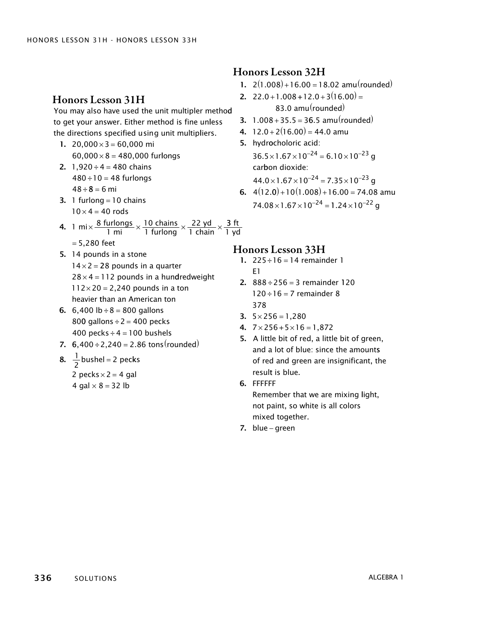# Honors Lesson 32H

- 1.  $2(1.008) + 16.00 = 18.02$  amu(rounded)
- **2.**  $22.0 + 1.008 + 12.0 + 3(16.00) =$ 83.0 amu(rounded)
- 3.  $1.008 + 35.5 = 36.5$  amu (rounded)
- **4.**  $12.0 + 2(16.00) = 44.0$  amu 5. hydrocholoric acid:  $36.5 \times 1.67 \times 10^{-24} = 6.10 \times 10^{-23}$  q

car bon dioxide:  $44.0\times1.67\times10^{-24} = 7.35\times10^{-23}$  g

6.  $4(12.0) + 10(1.008) + 16.00 = 74.08$  amu  $74.08 \times 1.67 \times 10^{-24} = 1.24 \times 10^{-22}$  g

Honors Lesson 31H

You may also have used the unit multipler method to get your answer. Either method is fine unless the directions specified using unit multipliers.

- 1. 20,000 $\times$ 3 = 60,000 mi  $60,000 \times 8 = 480,000$  furlongs
- $480 \div 10 = 48$  furlongs **2.** 1,920  $\div$  4 = 480 chains 48÷**8** = 6 mi
- **3.** 1 furlong  $=$  10 chains  $10 \times 4 = 40$  rods
- **4.**  $1 \text{ mi} \times \frac{8 \text{ furlongs}}{1 \text{ mi}}$ chains furlong yd 1 mi  $\bigcap$  1 furlong  $\bigcap$  1 chain 10 1 22  $\times\frac{10 \text{ chains}}{1 \text{ furlong}}\times\frac{22 \text{ yd}}{1 \text{ chain}}\times\frac{3}{1}$ ft yd
- = 5,280 feet 5. 14 pounds in a stone  $14 \times 2 = 28$  pounds in a quarter  $28 \times 4 = 112$  pounds in a hundredweight  $112 \times 20 = 2,240$  pounds in a ton heavier than an American ton
- **6.** 6,400  $lb \div 8 = 800$  gallons 800 gallons  $\div$  2 = 400 pecks 400 pecks $\div$  4 = 100 bushels
- 7.  $6,400 \div 2,240 = 2.86 \text{ tons}(\text{rounded})$

8. 
$$
\frac{1}{2}
$$
 bushel = 2 pecks  
2 pecks × 2 = 4 gal

4 gal  $\times$  8 = 32 lb

#### Honors Lesson 33H

- 1.  $225 \div 16 = 14$  remainder 1 1 E
- 2.  $888 \div 256 = 3$  remainder 120  $120 \div 16 = 7$  remainder 8 378
- 3.  $5 \times 256 = 1,280$
- 4.  $7 \times 256 + 5 \times 16 = 1,872$
- 5. A little bit of red, a little bit of green, and a lot of blue: since the amounts of red and green are insignificant, the result is blue.
- Remember that we are mixing light, 6. FFFFFF

not paint, so white is all colors mixed together.

7. blue − green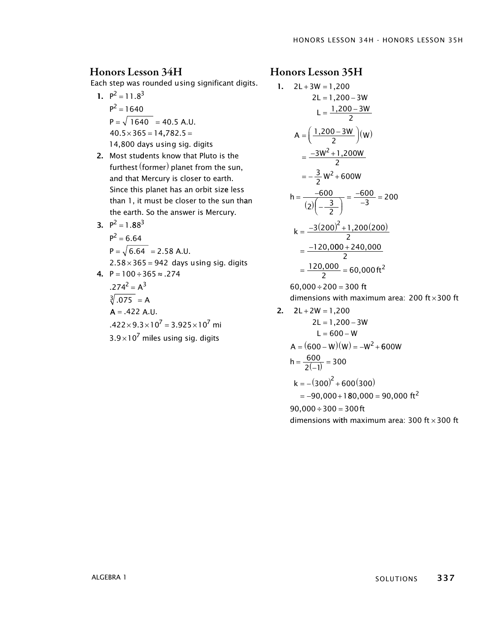#### Honors Lesson 34H

Each step was rounded using significant digits.

- 1.  $P^2 = 11.8^3$  $P^2 = 1640$  $P = \sqrt{1640} = 40.5$  A.U.  $40.5 \times 365 = 14,782.5 =$ 14,800 days using sig. digits
- 2. Most students know that Pluto is the furthest (former) planet from the sun, and that Mercury is closer to earth . Since this planet has an orbit siz e less than 1, it must be closer to the sun than the earth. So the answer is Mercury.
- 3.  $P^2 = 1.88^3$  $P^2 = 6.64$  $P = \sqrt{6.64} = 2.58$  A.U.  $2.58 \times 365 = 942$  days using sig. digits 4. P = 100 ÷ 365 ≈ .274

$$
274^{2} = A^{3}
$$
  
\n
$$
3 \overline{) .075} = A
$$
  
\n
$$
A = .422 A.U.
$$
  
\n
$$
.422 \times 9.3 \times 10^{7} = 3.925 \times 10^{7} \text{ mi}
$$
  
\n
$$
3.9 \times 10^{7} \text{ miles using sig. digits}
$$

#### Honors Lesson 35H

1. 
$$
2L+3W = 1,200
$$
  
\n $2L = 1,200-3W$   
\n $L = \frac{1,200-3W}{2}$   
\n $A = (\frac{1,200-3W}{2})(W)$   
\n $= \frac{-3W^2+1,200W}{2}$   
\n $= -\frac{3}{2}W^2+600W$   
\n $h = \frac{-600}{(2)(-\frac{3}{2})} = \frac{-600}{-3} = 200$   
\n $k = \frac{-3(200)^2+1,200(200)}{2}$   
\n $= \frac{-120,000+240,000}{2}$   
\n $= \frac{120,000}{2} = 60,000 \text{ ft}^2$   
\n60,000 ÷ 200 = 300 ft  
\ndimensions with maximum area: 200 ft × 300 ft  
\n2.  $2L+2W = 1,200$ 

$$
2L = 1,200 - 3W
$$
  
\n
$$
L = 600 - W
$$
  
\n
$$
A = (600 - W)(W) = -W^2 + 600W
$$
  
\n
$$
h = \frac{600}{2(-1)} = 300
$$
  
\n
$$
k = -(300)^2 + 600(300)
$$
  
\n
$$
= -90,000 + 180,000 = 90,000 \text{ ft}^2
$$

 $90,000 \div 300 = 300$  ft

dimensions with maximum area: 300 ft  $\times$  300 ft